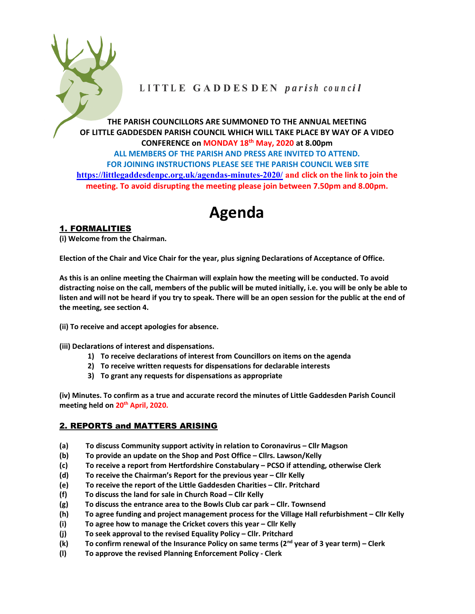

# LITTLE GADDESDEN parish council

THE PARISH COUNCILLORS ARE SUMMONED TO THE ANNUAL MEETING OF LITTLE GADDESDEN PARISH COUNCIL WHICH WILL TAKE PLACE BY WAY OF A VIDEO CONFERENCE on MONDAY 18th May, 2020 at 8.00pm ALL MEMBERS OF THE PARISH AND PRESS ARE INVITED TO ATTEND. FOR JOINING INSTRUCTIONS PLEASE SEE THE PARISH COUNCIL WEB SITE https://littlegaddesdenpc.org.uk/agendas-minutes-2020/ and click on the link to join the meeting. To avoid disrupting the meeting please join between 7.50pm and 8.00pm.

# Agenda

# 1. FORMALITIES

(i) Welcome from the Chairman.

Election of the Chair and Vice Chair for the year, plus signing Declarations of Acceptance of Office.

As this is an online meeting the Chairman will explain how the meeting will be conducted. To avoid distracting noise on the call, members of the public will be muted initially, i.e. you will be only be able to listen and will not be heard if you try to speak. There will be an open session for the public at the end of the meeting, see section 4.

(ii) To receive and accept apologies for absence.

(iii) Declarations of interest and dispensations.

- 1) To receive declarations of interest from Councillors on items on the agenda
- 2) To receive written requests for dispensations for declarable interests
- 3) To grant any requests for dispensations as appropriate

(iv) Minutes. To confirm as a true and accurate record the minutes of Little Gaddesden Parish Council meeting held on 20<sup>th</sup> April, 2020.

## 2. REPORTS and MATTERS ARISING

- (a) To discuss Community support activity in relation to Coronavirus Cllr Magson
- (b) To provide an update on the Shop and Post Office Cllrs. Lawson/Kelly
- (c) To receive a report from Hertfordshire Constabulary PCSO if attending, otherwise Clerk
- (d) To receive the Chairman's Report for the previous year Cllr Kelly
- (e) To receive the report of the Little Gaddesden Charities Cllr. Pritchard
- (f) To discuss the land for sale in Church Road Cllr Kelly
- (g) To discuss the entrance area to the Bowls Club car park Cllr. Townsend
- (h) To agree funding and project management process for the Village Hall refurbishment Cllr Kelly
- (i) To agree how to manage the Cricket covers this year Cllr Kelly
- (j) To seek approval to the revised Equality Policy Cllr. Pritchard
- (k) To confirm renewal of the Insurance Policy on same terms ( $2^{nd}$  year of 3 year term) Clerk
- (l) To approve the revised Planning Enforcement Policy Clerk